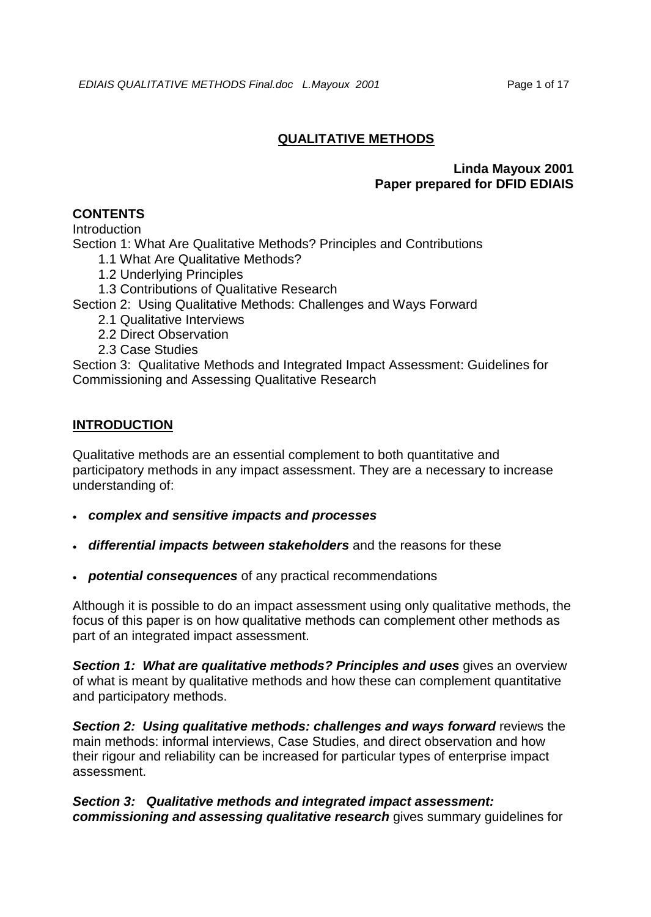# **QUALITATIVE METHODS**

## **Linda Mayoux 2001 Paper prepared for DFID EDIAIS**

# **CONTENTS**

**Introduction** 

Section 1: What Are Qualitative Methods? Principles and Contributions

1.1 What Are Qualitative Methods?

1.2 Underlying Principles

1.3 Contributions of Qualitative Research

Section 2: Using Qualitative Methods: Challenges and Ways Forward

- 2.1 Qualitative Interviews
- 2.2 Direct Observation
- 2.3 Case Studies

Section 3: Qualitative Methods and Integrated Impact Assessment: Guidelines for Commissioning and Assessing Qualitative Research

# **INTRODUCTION**

Qualitative methods are an essential complement to both quantitative and participatory methods in any impact assessment. They are a necessary to increase understanding of:

- *complex and sensitive impacts and processes*
- *differential impacts between stakeholders* and the reasons for these
- *potential consequences* of any practical recommendations

Although it is possible to do an impact assessment using only qualitative methods, the focus of this paper is on how qualitative methods can complement other methods as part of an integrated impact assessment.

*Section 1:**What are qualitative methods? Principles and uses* gives an overview of what is meant by qualitative methods and how these can complement quantitative and participatory methods.

*Section 2:**Using qualitative methods: challenges and ways forward* reviews the main methods: informal interviews, Case Studies, and direct observation and how their rigour and reliability can be increased for particular types of enterprise impact assessment.

*Section 3:**Qualitative methods and integrated impact assessment: commissioning and assessing qualitative research* gives summary guidelines for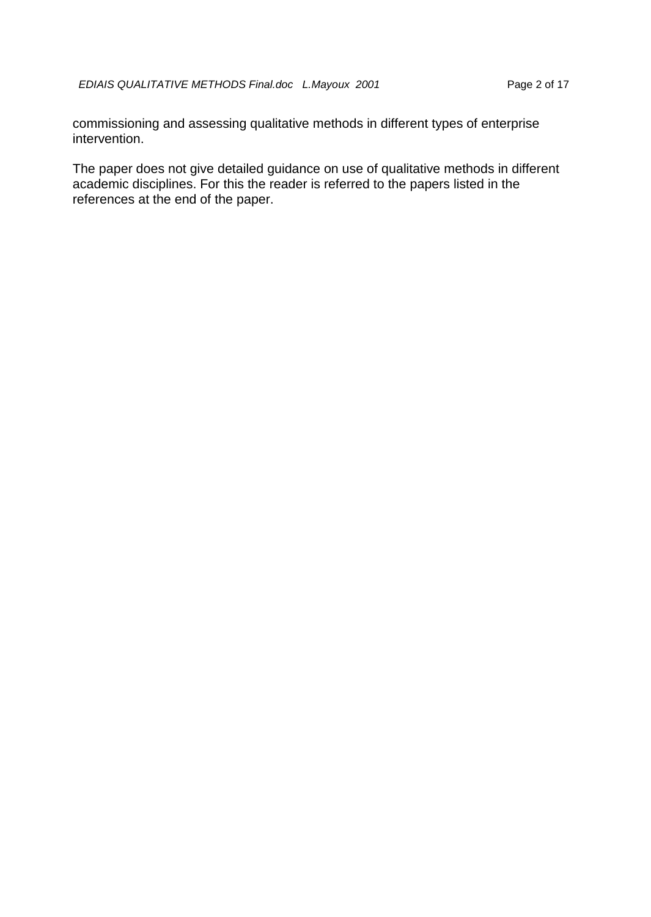commissioning and assessing qualitative methods in different types of enterprise intervention.

The paper does not give detailed guidance on use of qualitative methods in different academic disciplines. For this the reader is referred to the papers listed in the references at the end of the paper.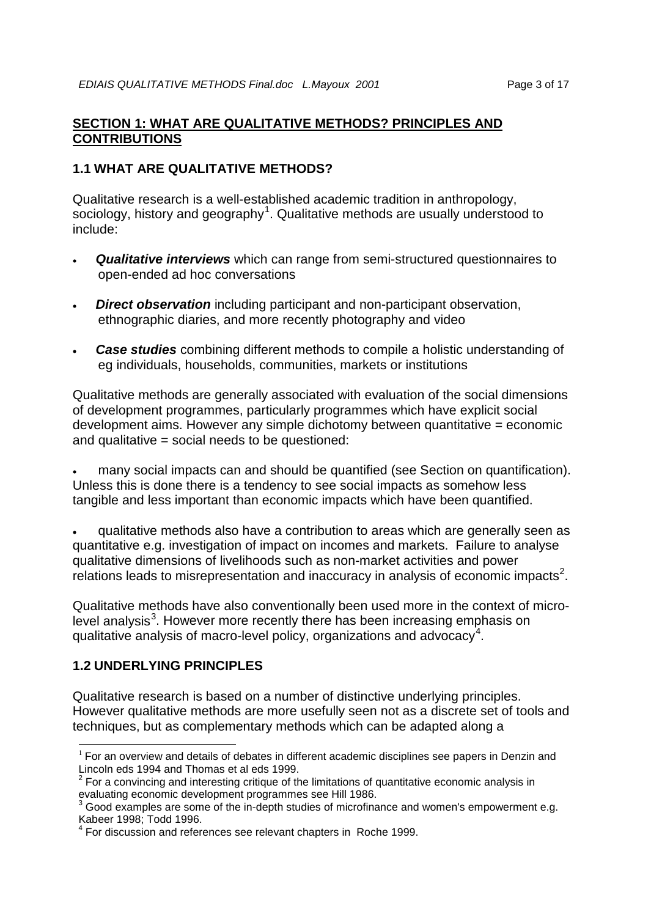## **SECTION 1: WHAT ARE QUALITATIVE METHODS? PRINCIPLES AND CONTRIBUTIONS**

## **1.1 WHAT ARE QUALITATIVE METHODS?**

Qualitative research is a well-established academic tradition in anthropology, sociology, history and geography<sup>[1](#page-2-0)</sup>. Qualitative methods are usually understood to include:

- *Qualitative interviews* which can range from semi-structured questionnaires to open-ended ad hoc conversations
- *Direct observation* including participant and non-participant observation, ethnographic diaries, and more recently photography and video
- **Case studies** combining different methods to compile a holistic understanding of eg individuals, households, communities, markets or institutions

Qualitative methods are generally associated with evaluation of the social dimensions of development programmes, particularly programmes which have explicit social development aims. However any simple dichotomy between quantitative = economic and qualitative  $=$  social needs to be questioned:

• many social impacts can and should be quantified (see Section on quantification). Unless this is done there is a tendency to see social impacts as somehow less tangible and less important than economic impacts which have been quantified.

• qualitative methods also have a contribution to areas which are generally seen as quantitative e.g. investigation of impact on incomes and markets. Failure to analyse qualitative dimensions of livelihoods such as non-market activities and power relations leads to misrepresentation and inaccuracy in analysis of economic impacts<sup>[2](#page-2-1)</sup>.

Qualitative methods have also conventionally been used more in the context of micro-level analysis<sup>[3](#page-2-2)</sup>. However more recently there has been increasing emphasis on qualitative analysis of macro-level policy, organizations and advocacy<sup>[4](#page-2-3)</sup>.

# **1.2 UNDERLYING PRINCIPLES**

Qualitative research is based on a number of distinctive underlying principles. However qualitative methods are more usefully seen not as a discrete set of tools and techniques, but as complementary methods which can be adapted along a

<span id="page-2-0"></span> $1$  For an overview and details of debates in different academic disciplines see papers in Denzin and Lincoln eds 1994 and Thomas et al eds 1999.

<span id="page-2-1"></span> $2$  For a convincing and interesting critique of the limitations of quantitative economic analysis in evaluating economic development programmes see Hill 1986.

<span id="page-2-2"></span> $3$  Good examples are some of the in-depth studies of microfinance and women's empowerment e.g. Kabeer 1998; Todd 1996.

<span id="page-2-3"></span>For discussion and references see relevant chapters in Roche 1999.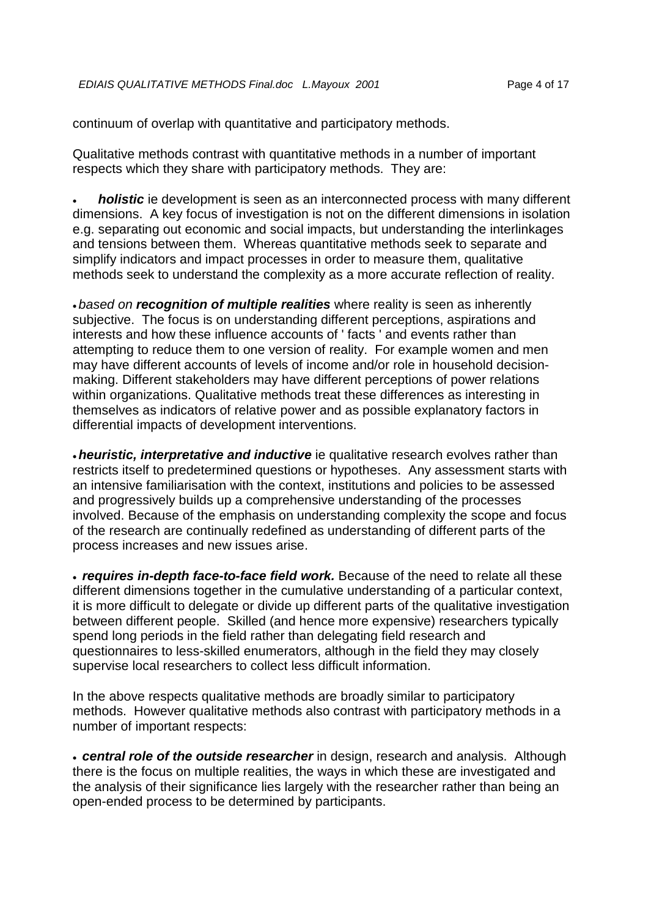continuum of overlap with quantitative and participatory methods.

Qualitative methods contrast with quantitative methods in a number of important respects which they share with participatory methods. They are:

• *holistic* ie development is seen as an interconnected process with many different dimensions. A key focus of investigation is not on the different dimensions in isolation e.g. separating out economic and social impacts, but understanding the interlinkages and tensions between them. Whereas quantitative methods seek to separate and simplify indicators and impact processes in order to measure them, qualitative methods seek to understand the complexity as a more accurate reflection of reality.

• *based on recognition of multiple realities* where reality is seen as inherently subjective. The focus is on understanding different perceptions, aspirations and interests and how these influence accounts of ' facts ' and events rather than attempting to reduce them to one version of reality. For example women and men may have different accounts of levels of income and/or role in household decisionmaking. Different stakeholders may have different perceptions of power relations within organizations. Qualitative methods treat these differences as interesting in themselves as indicators of relative power and as possible explanatory factors in differential impacts of development interventions.

•*heuristic, interpretative and inductive* ie qualitative research evolves rather than restricts itself to predetermined questions or hypotheses. Any assessment starts with an intensive familiarisation with the context, institutions and policies to be assessed and progressively builds up a comprehensive understanding of the processes involved. Because of the emphasis on understanding complexity the scope and focus of the research are continually redefined as understanding of different parts of the process increases and new issues arise.

• *requires in-depth face-to-face field work.* Because of the need to relate all these different dimensions together in the cumulative understanding of a particular context, it is more difficult to delegate or divide up different parts of the qualitative investigation between different people. Skilled (and hence more expensive) researchers typically spend long periods in the field rather than delegating field research and questionnaires to less-skilled enumerators, although in the field they may closely supervise local researchers to collect less difficult information.

In the above respects qualitative methods are broadly similar to participatory methods. However qualitative methods also contrast with participatory methods in a number of important respects:

• *central role of the outside researcher* in design, research and analysis. Although there is the focus on multiple realities, the ways in which these are investigated and the analysis of their significance lies largely with the researcher rather than being an open-ended process to be determined by participants.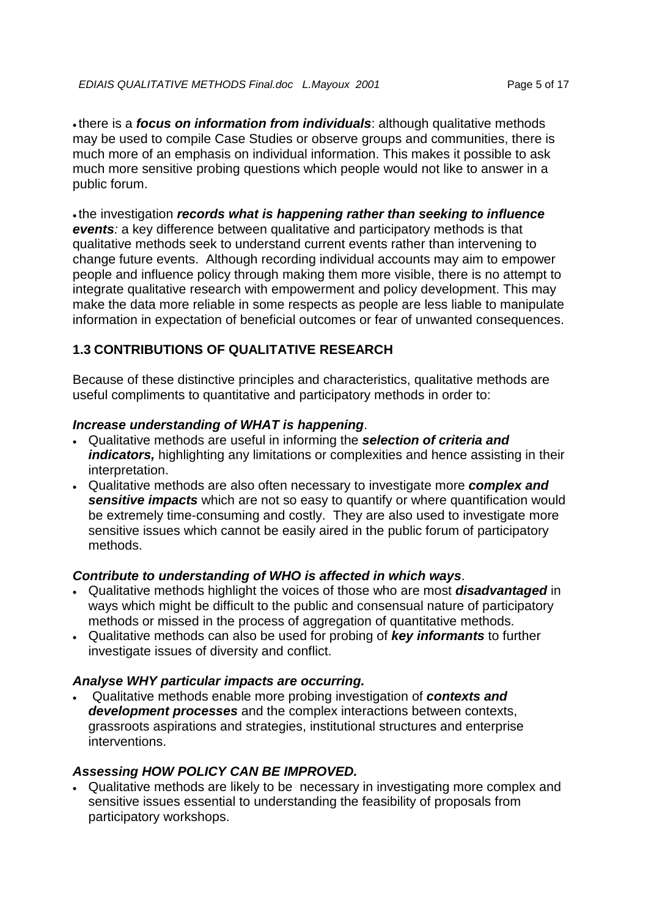• there is a *focus on information from individuals*: although qualitative methods may be used to compile Case Studies or observe groups and communities, there is much more of an emphasis on individual information. This makes it possible to ask much more sensitive probing questions which people would not like to answer in a public forum.

• the investigation *records what is happening rather than seeking to influence events:* a key difference between qualitative and participatory methods is that qualitative methods seek to understand current events rather than intervening to change future events. Although recording individual accounts may aim to empower people and influence policy through making them more visible, there is no attempt to integrate qualitative research with empowerment and policy development. This may make the data more reliable in some respects as people are less liable to manipulate information in expectation of beneficial outcomes or fear of unwanted consequences.

## **1.3 CONTRIBUTIONS OF QUALITATIVE RESEARCH**

Because of these distinctive principles and characteristics, qualitative methods are useful compliments to quantitative and participatory methods in order to:

## *Increase understanding of WHAT is happening*.

- Qualitative methods are useful in informing the *selection of criteria and indicators,* highlighting any limitations or complexities and hence assisting in their interpretation.
- Qualitative methods are also often necessary to investigate more *complex and sensitive impacts* which are not so easy to quantify or where quantification would be extremely time-consuming and costly. They are also used to investigate more sensitive issues which cannot be easily aired in the public forum of participatory methods.

## *Contribute to understanding of WHO is affected in which ways*.

- Qualitative methods highlight the voices of those who are most *disadvantaged* in ways which might be difficult to the public and consensual nature of participatory methods or missed in the process of aggregation of quantitative methods.
- Qualitative methods can also be used for probing of *key informants* to further investigate issues of diversity and conflict.

## *Analyse WHY particular impacts are occurring.*

• Qualitative methods enable more probing investigation of *contexts and development processes* and the complex interactions between contexts, grassroots aspirations and strategies, institutional structures and enterprise interventions.

## *Assessing HOW POLICY CAN BE IMPROVED.*

• Qualitative methods are likely to be necessary in investigating more complex and sensitive issues essential to understanding the feasibility of proposals from participatory workshops.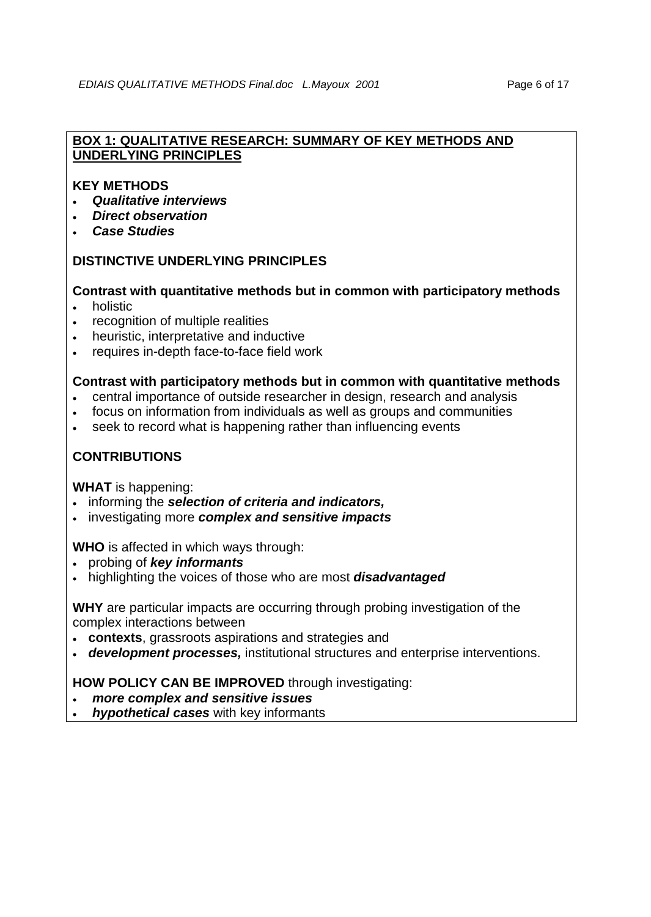## **BOX 1: QUALITATIVE RESEARCH: SUMMARY OF KEY METHODS AND UNDERLYING PRINCIPLES**

## **KEY METHODS**

- *Qualitative interviews*
- *Direct observation*
- *Case Studies*

## **DISTINCTIVE UNDERLYING PRINCIPLES**

## **Contrast with quantitative methods but in common with participatory methods**

- holistic
- recognition of multiple realities
- heuristic, interpretative and inductive
- requires in-depth face-to-face field work

#### **Contrast with participatory methods but in common with quantitative methods**

- central importance of outside researcher in design, research and analysis
- focus on information from individuals as well as groups and communities
- seek to record what is happening rather than influencing events

## **CONTRIBUTIONS**

**WHAT** is happening:

- informing the *selection of criteria and indicators,*
- investigating more *complex and sensitive impacts*

**WHO** is affected in which ways through:

- probing of *key informants*
- highlighting the voices of those who are most *disadvantaged*

**WHY** are particular impacts are occurring through probing investigation of the complex interactions between

- **contexts**, grassroots aspirations and strategies and
- *development processes,* institutional structures and enterprise interventions.

**HOW POLICY CAN BE IMPROVED** through investigating:

## • *more complex and sensitive issues*

• *hypothetical cases* with key informants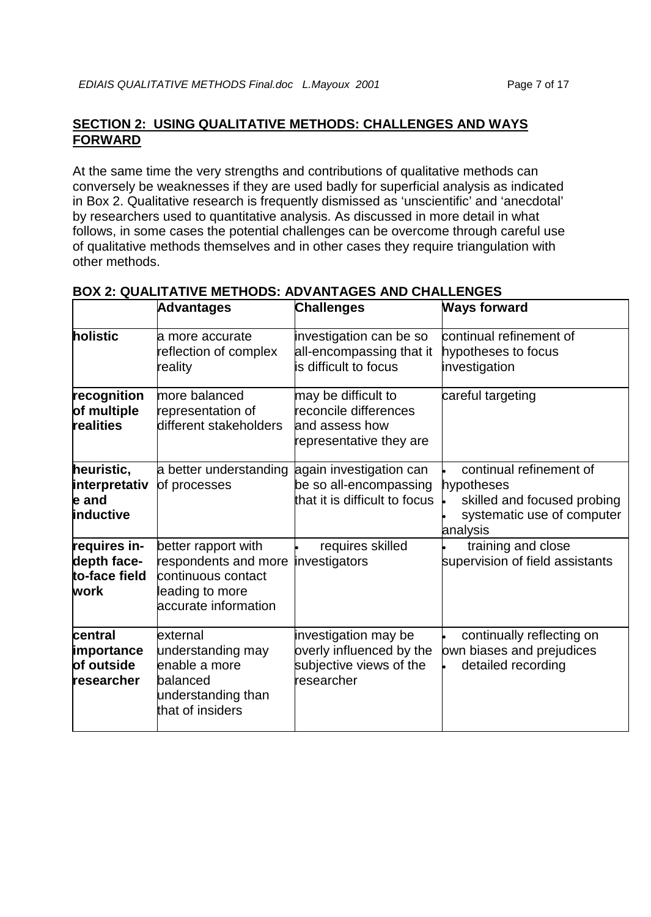# **SECTION 2: USING QUALITATIVE METHODS: CHALLENGES AND WAYS FORWARD**

At the same time the very strengths and contributions of qualitative methods can conversely be weaknesses if they are used badly for superficial analysis as indicated in Box 2. Qualitative research is frequently dismissed as 'unscientific' and 'anecdotal' by researchers used to quantitative analysis. As discussed in more detail in what follows, in some cases the potential challenges can be overcome through careful use of qualitative methods themselves and in other cases they require triangulation with other methods.

|                                                      | <b>Advantages</b>                                                                                            | <b>Challenges</b>                                                                         | <b>Ways forward</b>                                                                                            |
|------------------------------------------------------|--------------------------------------------------------------------------------------------------------------|-------------------------------------------------------------------------------------------|----------------------------------------------------------------------------------------------------------------|
| holistic                                             | la more accurate<br>reflection of complex<br>reality                                                         | investigation can be so<br>all-encompassing that it<br>is difficult to focus              | continual refinement of<br>hypotheses to focus<br>investigation                                                |
| recognition<br>of multiple<br>realities              | more balanced<br>representation of<br>different stakeholders                                                 | may be difficult to<br>reconcile differences<br>and assess how<br>representative they are | careful targeting                                                                                              |
| heuristic,<br>interpretativ<br>e and<br>inductive    | a better understanding<br>of processes                                                                       | again investigation can<br>be so all-encompassing<br>that it is difficult to focus        | continual refinement of<br>hypotheses<br>skilled and focused probing<br>systematic use of computer<br>analysis |
| requires in-<br>depth face-<br>to-face field<br>work | better rapport with<br>respondents and more<br>continuous contact<br>leading to more<br>accurate information | requires skilled<br>investigators                                                         | training and close<br>supervision of field assistants                                                          |
| central<br>importance<br>of outside<br>researcher    | external<br>understanding may<br>enable a more<br>balanced<br>understanding than<br>that of insiders         | investigation may be<br>overly influenced by the<br>subjective views of the<br>researcher | continually reflecting on<br>own biases and prejudices<br>detailed recording                                   |

## **BOX 2: QUALITATIVE METHODS: ADVANTAGES AND CHALLENGES**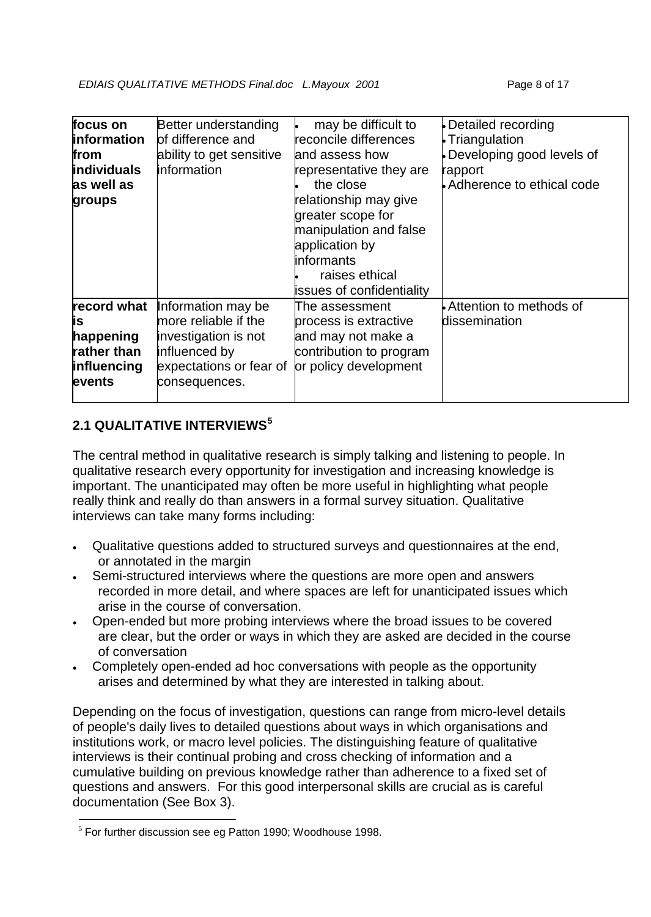| focus on<br><b>information</b><br>from<br><b>individuals</b><br>as well as<br>groups | Better understanding<br>lof difference and<br>ability to get sensitive<br>information                                           | may be difficult to<br>reconcile differences<br>land assess how<br>representative they are<br>the close<br>relationship may give<br>greater scope for<br>manipulation and false<br>application by<br>linformants<br>raises ethical<br>issues of confidentiality | Detailed recording<br>Triangulation<br>Developing good levels of<br>rapport<br>Adherence to ethical code |
|--------------------------------------------------------------------------------------|---------------------------------------------------------------------------------------------------------------------------------|-----------------------------------------------------------------------------------------------------------------------------------------------------------------------------------------------------------------------------------------------------------------|----------------------------------------------------------------------------------------------------------|
| record what<br>İS.<br>happening<br>rather than<br><b>influencing</b><br>events       | Information may be<br>more reliable if the<br>investigation is not<br>influenced by<br>expectations or fear of<br>consequences. | The assessment<br>process is extractive<br>and may not make a<br>contribution to program<br>or policy development                                                                                                                                               | Attention to methods of<br>ldissemination                                                                |

# **2.1 QUALITATIVE INTERVIEWS[5](#page-7-0)**

The central method in qualitative research is simply talking and listening to people. In qualitative research every opportunity for investigation and increasing knowledge is important. The unanticipated may often be more useful in highlighting what people really think and really do than answers in a formal survey situation. Qualitative interviews can take many forms including:

- Qualitative questions added to structured surveys and questionnaires at the end, or annotated in the margin
- Semi-structured interviews where the questions are more open and answers recorded in more detail, and where spaces are left for unanticipated issues which arise in the course of conversation.
- Open-ended but more probing interviews where the broad issues to be covered are clear, but the order or ways in which they are asked are decided in the course of conversation
- Completely open-ended ad hoc conversations with people as the opportunity arises and determined by what they are interested in talking about.

Depending on the focus of investigation, questions can range from micro-level details of people's daily lives to detailed questions about ways in which organisations and institutions work, or macro level policies. The distinguishing feature of qualitative interviews is their continual probing and cross checking of information and a cumulative building on previous knowledge rather than adherence to a fixed set of questions and answers. For this good interpersonal skills are crucial as is careful documentation (See Box 3).

<span id="page-7-0"></span> $<sup>5</sup>$  For further discussion see eg Patton 1990; Woodhouse 1998.</sup>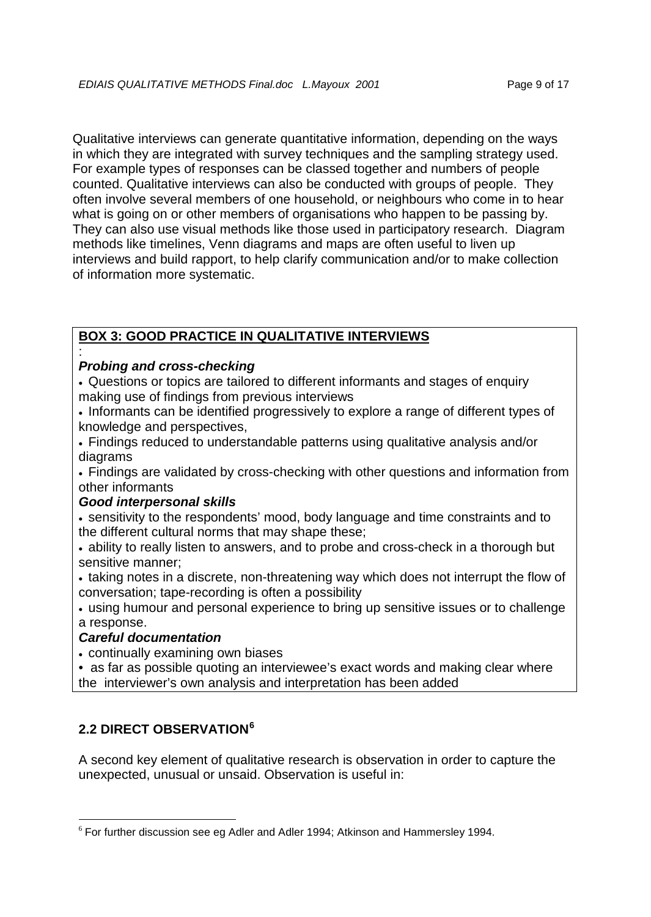Qualitative interviews can generate quantitative information, depending on the ways in which they are integrated with survey techniques and the sampling strategy used. For example types of responses can be classed together and numbers of people counted. Qualitative interviews can also be conducted with groups of people. They often involve several members of one household, or neighbours who come in to hear what is going on or other members of organisations who happen to be passing by. They can also use visual methods like those used in participatory research. Diagram methods like timelines, Venn diagrams and maps are often useful to liven up interviews and build rapport, to help clarify communication and/or to make collection of information more systematic.

# **BOX 3: GOOD PRACTICE IN QUALITATIVE INTERVIEWS**

#### : *Probing and cross-checking*

• Questions or topics are tailored to different informants and stages of enquiry making use of findings from previous interviews

• Informants can be identified progressively to explore a range of different types of knowledge and perspectives,

• Findings reduced to understandable patterns using qualitative analysis and/or diagrams

• Findings are validated by cross-checking with other questions and information from other informants

## *Good interpersonal skills*

• sensitivity to the respondents' mood, body language and time constraints and to the different cultural norms that may shape these;

• ability to really listen to answers, and to probe and cross-check in a thorough but sensitive manner;

• taking notes in a discrete, non-threatening way which does not interrupt the flow of conversation; tape-recording is often a possibility

• using humour and personal experience to bring up sensitive issues or to challenge a response.

## *Careful documentation*

• continually examining own biases

• as far as possible quoting an interviewee's exact words and making clear where the interviewer's own analysis and interpretation has been added

# **2.2 DIRECT OBSERVATION[6](#page-8-0)**

A second key element of qualitative research is observation in order to capture the unexpected, unusual or unsaid. Observation is useful in:

<span id="page-8-0"></span> $6$  For further discussion see eg Adler and Adler 1994; Atkinson and Hammersley 1994.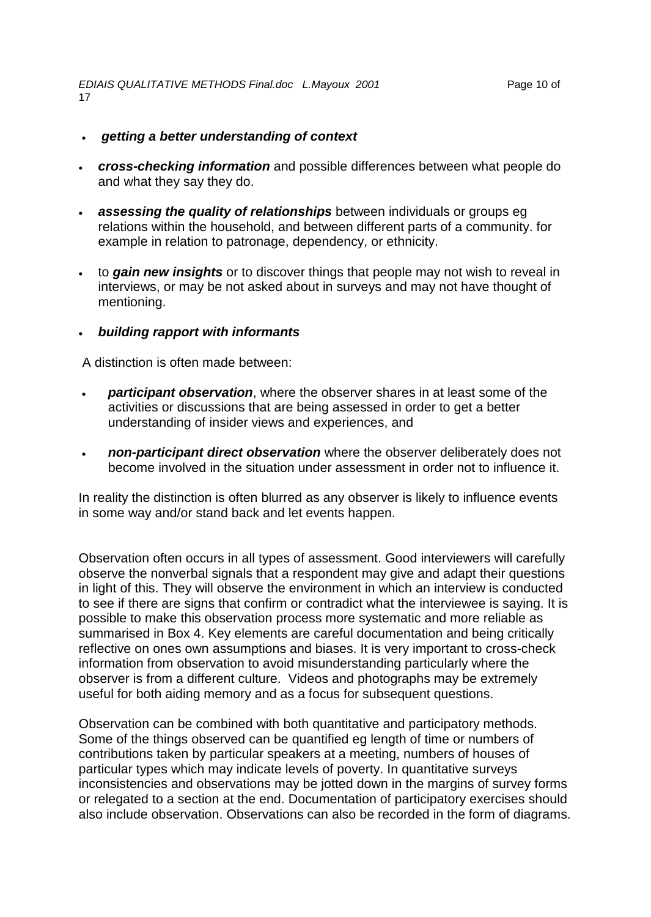- *getting a better understanding of context*
- *cross-checking information* and possible differences between what people do and what they say they do.
- *assessing the quality of relationships* between individuals or groups eg relations within the household, and between different parts of a community. for example in relation to patronage, dependency, or ethnicity.
- to *gain new insights* or to discover things that people may not wish to reveal in interviews, or may be not asked about in surveys and may not have thought of mentioning.
- *building rapport with informants*

A distinction is often made between:

- *participant observation*, where the observer shares in at least some of the activities or discussions that are being assessed in order to get a better understanding of insider views and experiences, and
- *non-participant direct observation* where the observer deliberately does not become involved in the situation under assessment in order not to influence it.

In reality the distinction is often blurred as any observer is likely to influence events in some way and/or stand back and let events happen.

Observation often occurs in all types of assessment. Good interviewers will carefully observe the nonverbal signals that a respondent may give and adapt their questions in light of this. They will observe the environment in which an interview is conducted to see if there are signs that confirm or contradict what the interviewee is saying. It is possible to make this observation process more systematic and more reliable as summarised in Box 4. Key elements are careful documentation and being critically reflective on ones own assumptions and biases. It is very important to cross-check information from observation to avoid misunderstanding particularly where the observer is from a different culture. Videos and photographs may be extremely useful for both aiding memory and as a focus for subsequent questions.

Observation can be combined with both quantitative and participatory methods. Some of the things observed can be quantified eg length of time or numbers of contributions taken by particular speakers at a meeting, numbers of houses of particular types which may indicate levels of poverty. In quantitative surveys inconsistencies and observations may be jotted down in the margins of survey forms or relegated to a section at the end. Documentation of participatory exercises should also include observation. Observations can also be recorded in the form of diagrams.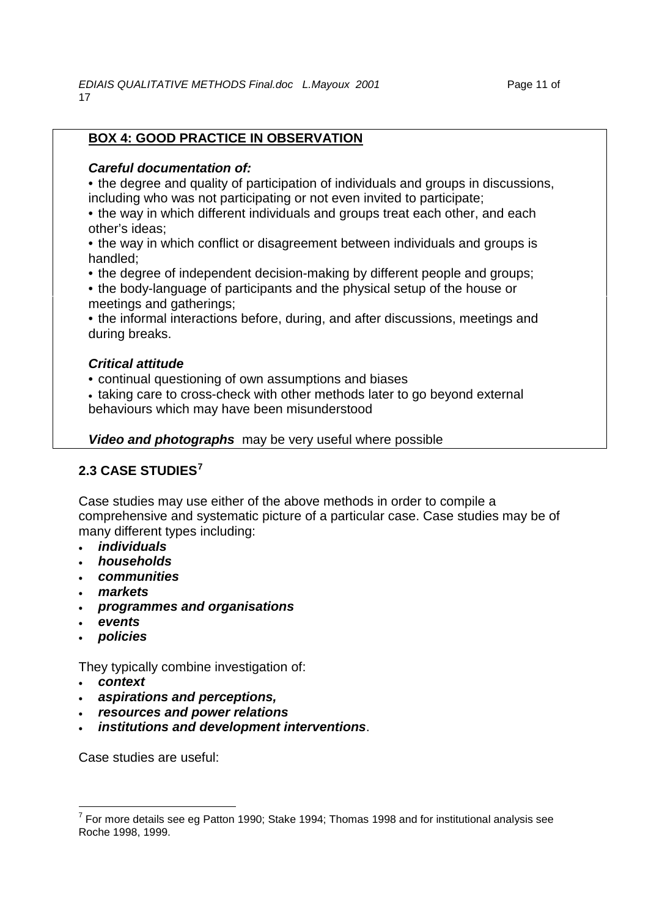# **BOX 4: GOOD PRACTICE IN OBSERVATION**

## *Careful documentation of:*

• the degree and quality of participation of individuals and groups in discussions, including who was not participating or not even invited to participate;

- the way in which different individuals and groups treat each other, and each other's ideas;
- the way in which conflict or disagreement between individuals and groups is handled;
- the degree of independent decision-making by different people and groups;
- the body-language of participants and the physical setup of the house or meetings and gatherings;
- the informal interactions before, during, and after discussions, meetings and during breaks.

## *Critical attitude*

• continual questioning of own assumptions and biases

• taking care to cross-check with other methods later to go beyond external behaviours which may have been misunderstood

*Video and photographs* may be very useful where possible

# **2.3 CASE STUDIES[7](#page-10-0)**

Case studies may use either of the above methods in order to compile a comprehensive and systematic picture of a particular case. Case studies may be of many different types including:

- *individuals*
- *households*
- *communities*
- *markets*
- *programmes and organisations*
- *events*
- *policies*

They typically combine investigation of:

- *context*
- *aspirations and perceptions,*
- *resources and power relations*
- *institutions and development interventions*.

Case studies are useful:

<span id="page-10-0"></span> $7$  For more details see eg Patton 1990; Stake 1994; Thomas 1998 and for institutional analysis see Roche 1998, 1999.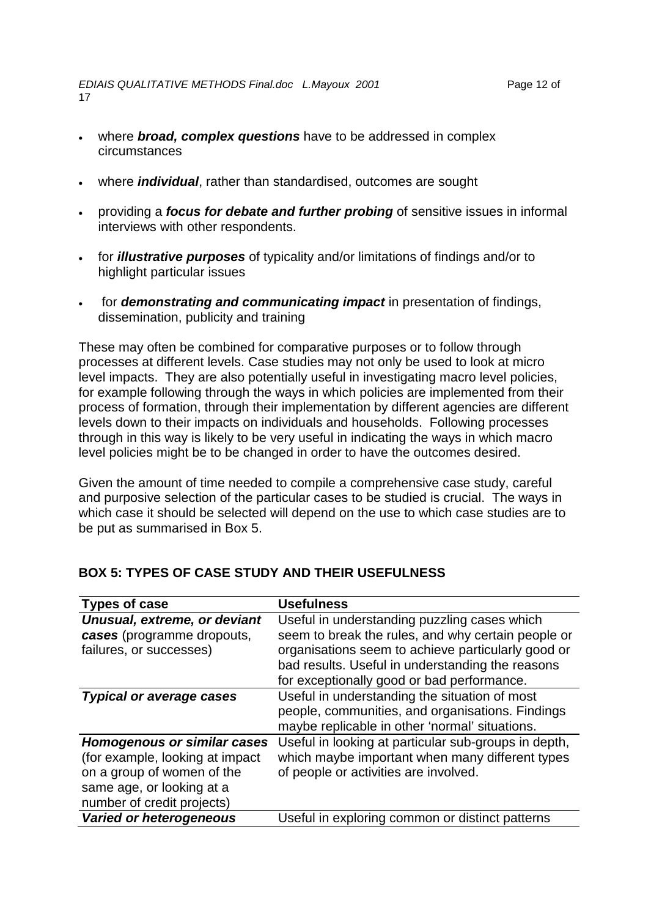- where *individual*, rather than standardised, outcomes are sought
- providing a *focus for debate and further probing* of sensitive issues in informal interviews with other respondents.
- for *illustrative purposes* of typicality and/or limitations of findings and/or to highlight particular issues
- for *demonstrating and communicating impact* in presentation of findings, dissemination, publicity and training

These may often be combined for comparative purposes or to follow through processes at different levels. Case studies may not only be used to look at micro level impacts. They are also potentially useful in investigating macro level policies, for example following through the ways in which policies are implemented from their process of formation, through their implementation by different agencies are different levels down to their impacts on individuals and households. Following processes through in this way is likely to be very useful in indicating the ways in which macro level policies might be to be changed in order to have the outcomes desired.

Given the amount of time needed to compile a comprehensive case study, careful and purposive selection of the particular cases to be studied is crucial. The ways in which case it should be selected will depend on the use to which case studies are to be put as summarised in Box 5.

| <b>Types of case</b>               | <b>Usefulness</b>                                    |
|------------------------------------|------------------------------------------------------|
| Unusual, extreme, or deviant       | Useful in understanding puzzling cases which         |
| cases (programme dropouts,         | seem to break the rules, and why certain people or   |
| failures, or successes)            | organisations seem to achieve particularly good or   |
|                                    | bad results. Useful in understanding the reasons     |
|                                    | for exceptionally good or bad performance.           |
| <b>Typical or average cases</b>    | Useful in understanding the situation of most        |
|                                    | people, communities, and organisations. Findings     |
|                                    | maybe replicable in other 'normal' situations.       |
| <b>Homogenous or similar cases</b> | Useful in looking at particular sub-groups in depth, |
| (for example, looking at impact)   | which maybe important when many different types      |
| on a group of women of the         | of people or activities are involved.                |
| same age, or looking at a          |                                                      |
| number of credit projects)         |                                                      |
| <b>Varied or heterogeneous</b>     | Useful in exploring common or distinct patterns      |

## **BOX 5: TYPES OF CASE STUDY AND THEIR USEFULNESS**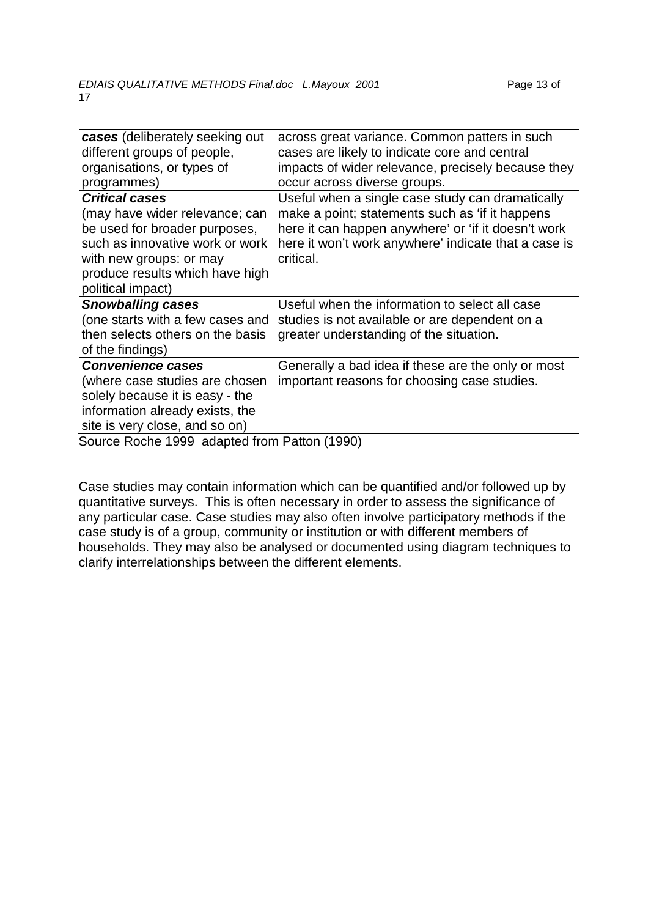| <b>cases</b> (deliberately seeking out | across great variance. Common patters in such        |
|----------------------------------------|------------------------------------------------------|
| different groups of people,            | cases are likely to indicate core and central        |
| organisations, or types of             | impacts of wider relevance, precisely because they   |
| programmes)                            | occur across diverse groups.                         |
| <b>Critical cases</b>                  | Useful when a single case study can dramatically     |
| (may have wider relevance; can         | make a point; statements such as 'if it happens      |
| be used for broader purposes,          | here it can happen anywhere' or 'if it doesn't work  |
| such as innovative work or work        | here it won't work anywhere' indicate that a case is |
| with new groups: or may                | critical.                                            |
| produce results which have high        |                                                      |
| political impact)                      |                                                      |
|                                        |                                                      |
| <b>Snowballing cases</b>               | Useful when the information to select all case       |
| (one starts with a few cases and       | studies is not available or are dependent on a       |
| then selects others on the basis       | greater understanding of the situation.              |
| of the findings)                       |                                                      |
| <b>Convenience cases</b>               | Generally a bad idea if these are the only or most   |
| (where case studies are chosen         | important reasons for choosing case studies.         |
| solely because it is easy - the        |                                                      |
| information already exists, the        |                                                      |
| site is very close, and so on)         |                                                      |

Case studies may contain information which can be quantified and/or followed up by quantitative surveys. This is often necessary in order to assess the significance of any particular case. Case studies may also often involve participatory methods if the case study is of a group, community or institution or with different members of households. They may also be analysed or documented using diagram techniques to clarify interrelationships between the different elements.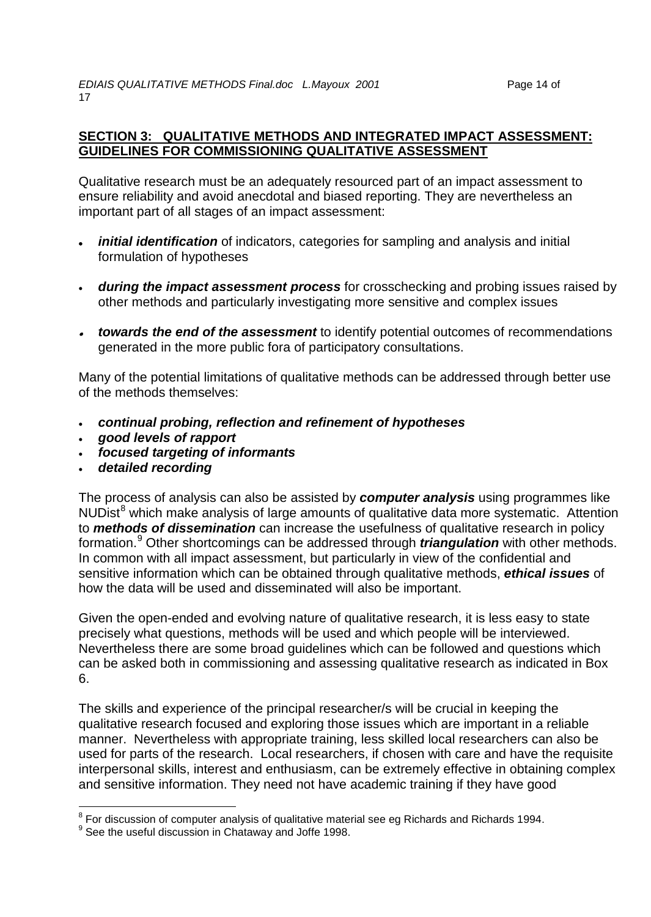## **SECTION 3: QUALITATIVE METHODS AND INTEGRATED IMPACT ASSESSMENT: GUIDELINES FOR COMMISSIONING QUALITATIVE ASSESSMENT**

Qualitative research must be an adequately resourced part of an impact assessment to ensure reliability and avoid anecdotal and biased reporting. They are nevertheless an important part of all stages of an impact assessment:

- *initial identification* of indicators, categories for sampling and analysis and initial formulation of hypotheses
- *during the impact assessment process* for crosschecking and probing issues raised by other methods and particularly investigating more sensitive and complex issues
- *towards the end of the assessment* to identify potential outcomes of recommendations generated in the more public fora of participatory consultations.

Many of the potential limitations of qualitative methods can be addressed through better use of the methods themselves:

- *continual probing, reflection and refinement of hypotheses*
- *good levels of rapport*
- *focused targeting of informants*
- *detailed recording*

The process of analysis can also be assisted by *computer analysis* using programmes like  $NUDist<sup>8</sup>$  $NUDist<sup>8</sup>$  $NUDist<sup>8</sup>$  which make analysis of large amounts of qualitative data more systematic. Attention to *methods of dissemination* can increase the usefulness of qualitative research in policy formation.[9](#page-13-1) Other shortcomings can be addressed through *triangulation* with other methods. In common with all impact assessment, but particularly in view of the confidential and sensitive information which can be obtained through qualitative methods, *ethical issues* of how the data will be used and disseminated will also be important.

Given the open-ended and evolving nature of qualitative research, it is less easy to state precisely what questions, methods will be used and which people will be interviewed. Nevertheless there are some broad guidelines which can be followed and questions which can be asked both in commissioning and assessing qualitative research as indicated in Box 6.

The skills and experience of the principal researcher/s will be crucial in keeping the qualitative research focused and exploring those issues which are important in a reliable manner. Nevertheless with appropriate training, less skilled local researchers can also be used for parts of the research. Local researchers, if chosen with care and have the requisite interpersonal skills, interest and enthusiasm, can be extremely effective in obtaining complex and sensitive information. They need not have academic training if they have good

<span id="page-13-0"></span><sup>&</sup>lt;sup>8</sup> For discussion of computer analysis of qualitative material see eg Richards and Richards 1994.

<span id="page-13-1"></span> $9$  See the useful discussion in Chataway and Joffe 1998.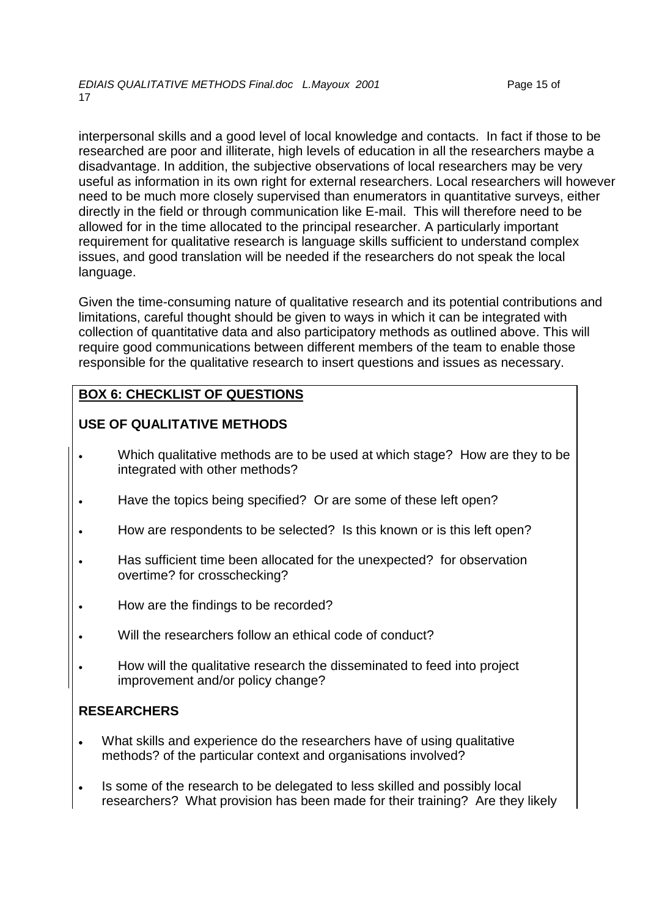interpersonal skills and a good level of local knowledge and contacts. In fact if those to be researched are poor and illiterate, high levels of education in all the researchers maybe a disadvantage. In addition, the subjective observations of local researchers may be very useful as information in its own right for external researchers. Local researchers will however need to be much more closely supervised than enumerators in quantitative surveys, either directly in the field or through communication like E-mail. This will therefore need to be allowed for in the time allocated to the principal researcher. A particularly important requirement for qualitative research is language skills sufficient to understand complex issues, and good translation will be needed if the researchers do not speak the local language.

Given the time-consuming nature of qualitative research and its potential contributions and limitations, careful thought should be given to ways in which it can be integrated with collection of quantitative data and also participatory methods as outlined above. This will require good communications between different members of the team to enable those responsible for the qualitative research to insert questions and issues as necessary.

# **BOX 6: CHECKLIST OF QUESTIONS**

# **USE OF QUALITATIVE METHODS**

- Which qualitative methods are to be used at which stage? How are they to be integrated with other methods?
- Have the topics being specified? Or are some of these left open?
- How are respondents to be selected? Is this known or is this left open?
- Has sufficient time been allocated for the unexpected? for observation overtime? for crosschecking?
- How are the findings to be recorded?
- Will the researchers follow an ethical code of conduct?
- How will the qualitative research the disseminated to feed into project improvement and/or policy change?

# **RESEARCHERS**

- What skills and experience do the researchers have of using qualitative methods? of the particular context and organisations involved?
- Is some of the research to be delegated to less skilled and possibly local researchers? What provision has been made for their training? Are they likely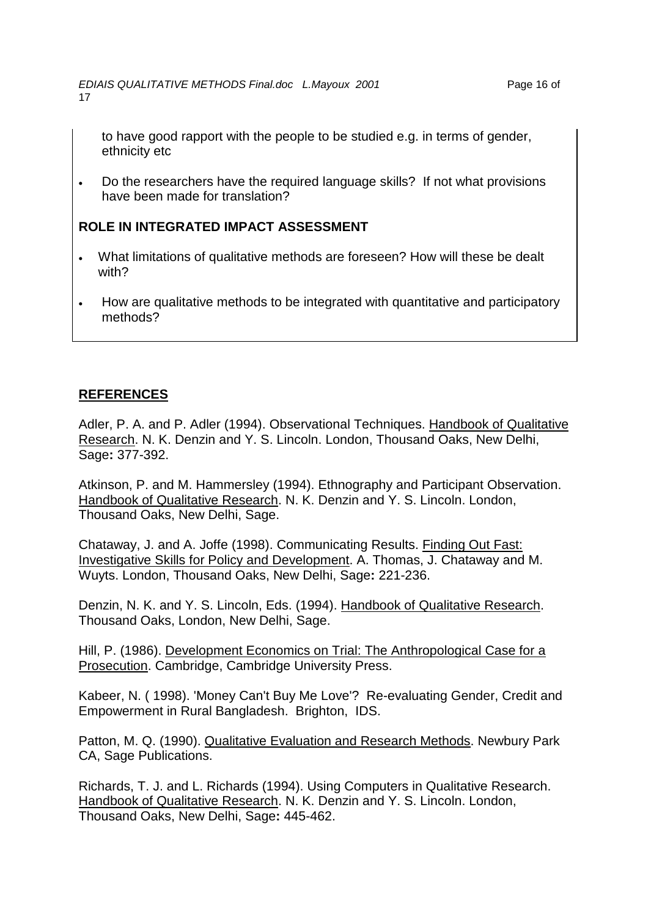to have good rapport with the people to be studied e.g. in terms of gender, ethnicity etc

• Do the researchers have the required language skills?If not what provisions have been made for translation?

# **ROLE IN INTEGRATED IMPACT ASSESSMENT**

- What limitations of qualitative methods are foreseen? How will these be dealt with?
- How are qualitative methods to be integrated with quantitative and participatory methods?

# **REFERENCES**

Adler, P. A. and P. Adler (1994). Observational Techniques. Handbook of Qualitative Research. N. K. Denzin and Y. S. Lincoln. London, Thousand Oaks, New Delhi, Sage**:** 377-392.

Atkinson, P. and M. Hammersley (1994). Ethnography and Participant Observation. Handbook of Qualitative Research. N. K. Denzin and Y. S. Lincoln. London, Thousand Oaks, New Delhi, Sage.

Chataway, J. and A. Joffe (1998). Communicating Results. Finding Out Fast: Investigative Skills for Policy and Development. A. Thomas, J. Chataway and M. Wuyts. London, Thousand Oaks, New Delhi, Sage**:** 221-236.

Denzin, N. K. and Y. S. Lincoln, Eds. (1994). Handbook of Qualitative Research. Thousand Oaks, London, New Delhi, Sage.

Hill, P. (1986). Development Economics on Trial: The Anthropological Case for a Prosecution. Cambridge, Cambridge University Press.

Kabeer, N. ( 1998). 'Money Can't Buy Me Love'? Re-evaluating Gender, Credit and Empowerment in Rural Bangladesh. Brighton, IDS.

Patton, M. Q. (1990). Qualitative Evaluation and Research Methods. Newbury Park CA, Sage Publications.

Richards, T. J. and L. Richards (1994). Using Computers in Qualitative Research. Handbook of Qualitative Research. N. K. Denzin and Y. S. Lincoln. London, Thousand Oaks, New Delhi, Sage**:** 445-462.